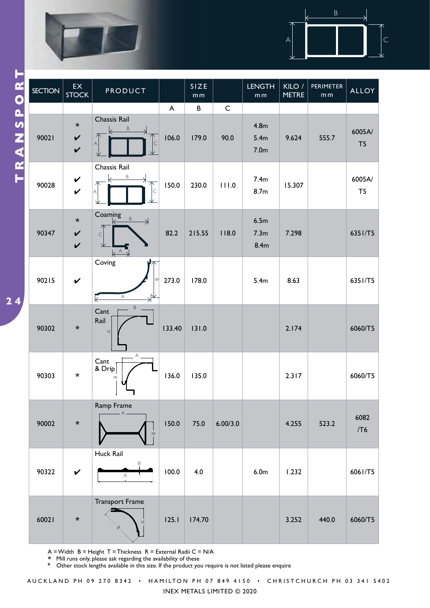

 $\overline{\mathbf{2}}$ 



|                       | <b>SECTION</b> | $\mathsf{EX}$<br><b>STOCK</b>                         | PRODUCT                                               |              | SIZE<br>m m |             | <b>LENGTH</b><br>$\mathsf m\,\mathsf m$                  | KILO /<br><b>METRE</b> | <b>PERIMETER</b><br>m <sub>m</sub> | <b>ALLOY</b>             |
|-----------------------|----------------|-------------------------------------------------------|-------------------------------------------------------|--------------|-------------|-------------|----------------------------------------------------------|------------------------|------------------------------------|--------------------------|
|                       |                |                                                       |                                                       | $\mathsf{A}$ | $\sf B$     | $\mathsf C$ |                                                          |                        |                                    |                          |
| <b>FRANSPOR</b><br>24 | 90021          | $\star$<br>$\checkmark$<br>$\boldsymbol{\mathcal{U}}$ | Chassis Rail<br>B<br>$\subset$<br>А                   | 106.0        | 179.0       | 90.0        | 4.8 <sub>m</sub><br>5.4 <sub>m</sub><br>7.0 <sub>m</sub> | 9.624                  | 555.7                              | 6005A/<br>T <sub>5</sub> |
|                       | 90028          | $\checkmark$<br>$\checkmark$                          | Chassis Rail<br>Β<br>$\subset$<br>Α                   | 150.0        | 230.0       | 111.0       | 7.4m<br>8.7m                                             | 15.307                 |                                    | 6005A/<br>T <sub>5</sub> |
|                       | 90347          | $\boldsymbol{\star}$<br>$\checkmark$<br>$\checkmark$  | Coaming<br>$\mathsf B$<br>$\Rightarrow$<br>C<br>$K^A$ | 82.2         | 215.55      | 118.0       | 6.5m<br>7.3 <sub>m</sub><br>8.4 <sub>m</sub>             | 7.298                  |                                    | 6351/T5                  |
|                       | 90215          | $\checkmark$                                          | Coving<br>∞<br>Α<br>$\Leftarrow$                      | 273.0        | 178.0       |             | 5.4m                                                     | 8.63                   |                                    | 6351/T5                  |
|                       | 90302          | *                                                     | $\mathsf B$<br>Cant<br>Rail<br>$\prec$                | 133.40       | 131.0       |             |                                                          | 2.174                  |                                    | 6060/T5                  |
|                       | 90303          | $\star$                                               | $A_{-}$<br>Cant<br>& Drip<br>$\infty$                 | 136.0        | 135.0       |             |                                                          | 2.317                  |                                    | 6060/T5                  |
|                       | 90002          | $\ast$                                                | Ramp Frame<br>$\overline{A}$<br>$\infty$              | 150.0        | 75.0        | 6.00/3.0    |                                                          | 4.255                  | 523.2                              | 6082<br>/T6              |
|                       | 90322          | $\checkmark$                                          | Huck Rail<br>Β<br>$\forall$                           | 100.0        | 4.0         |             | 6.0 <sub>m</sub>                                         | 1.232                  |                                    | 6061/T5                  |
|                       | 60021          | $\ast$                                                | <b>Transport Frame</b><br>ᢙ                           | 125.1        | 174.70      |             |                                                          | 3.252                  | 440.0                              | 6060/T5                  |

 $A = W$ idth  $B =$  Height T = Thickness  $R =$  External Radii C = N/A

**\*** Mill runs only, please ask regarding the availability of these

**#** Other stock lengths available in this size. If the product you require is not listed please enquire

INEX METALS LIMITED © 2020